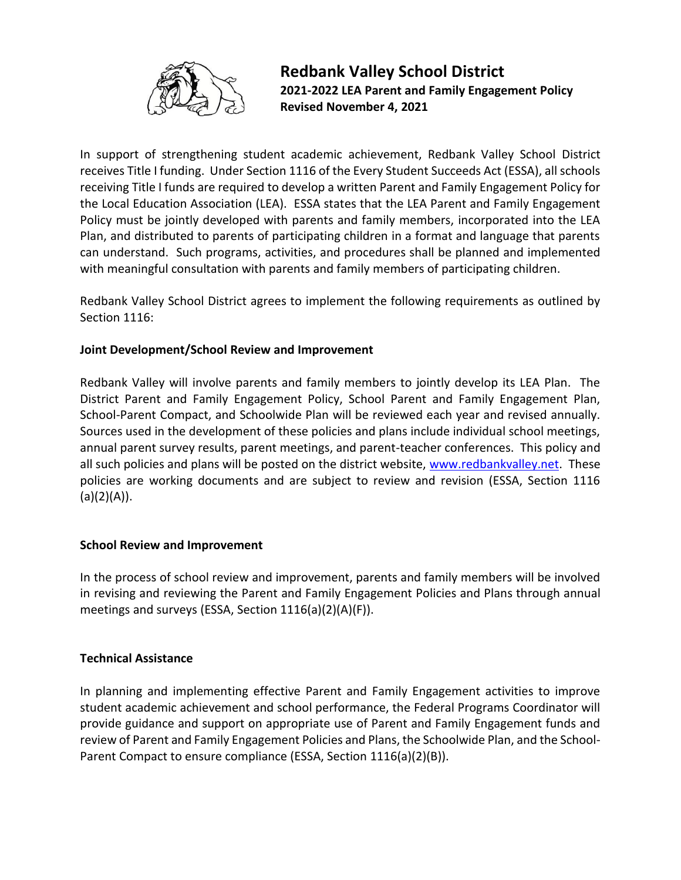

# **Redbank Valley School District 2021-2022 LEA Parent and Family Engagement Policy Revised November 4, 2021**

In support of strengthening student academic achievement, Redbank Valley School District receives Title I funding. Under Section 1116 of the Every Student Succeeds Act (ESSA), all schools receiving Title I funds are required to develop a written Parent and Family Engagement Policy for the Local Education Association (LEA). ESSA states that the LEA Parent and Family Engagement Policy must be jointly developed with parents and family members, incorporated into the LEA Plan, and distributed to parents of participating children in a format and language that parents can understand. Such programs, activities, and procedures shall be planned and implemented with meaningful consultation with parents and family members of participating children.

Redbank Valley School District agrees to implement the following requirements as outlined by Section 1116:

## **Joint Development/School Review and Improvement**

Redbank Valley will involve parents and family members to jointly develop its LEA Plan. The District Parent and Family Engagement Policy, School Parent and Family Engagement Plan, School-Parent Compact, and Schoolwide Plan will be reviewed each year and revised annually. Sources used in the development of these policies and plans include individual school meetings, annual parent survey results, parent meetings, and parent-teacher conferences. This policy and all such policies and plans will be posted on the district website, [www.redbankvalley.net.](http://www.redbankvalley.net/) These policies are working documents and are subject to review and revision (ESSA, Section 1116  $(a)(2)(A)).$ 

#### **School Review and Improvement**

In the process of school review and improvement, parents and family members will be involved in revising and reviewing the Parent and Family Engagement Policies and Plans through annual meetings and surveys (ESSA, Section 1116(a)(2)(A)(F)).

#### **Technical Assistance**

In planning and implementing effective Parent and Family Engagement activities to improve student academic achievement and school performance, the Federal Programs Coordinator will provide guidance and support on appropriate use of Parent and Family Engagement funds and review of Parent and Family Engagement Policies and Plans, the Schoolwide Plan, and the School-Parent Compact to ensure compliance (ESSA, Section 1116(a)(2)(B)).